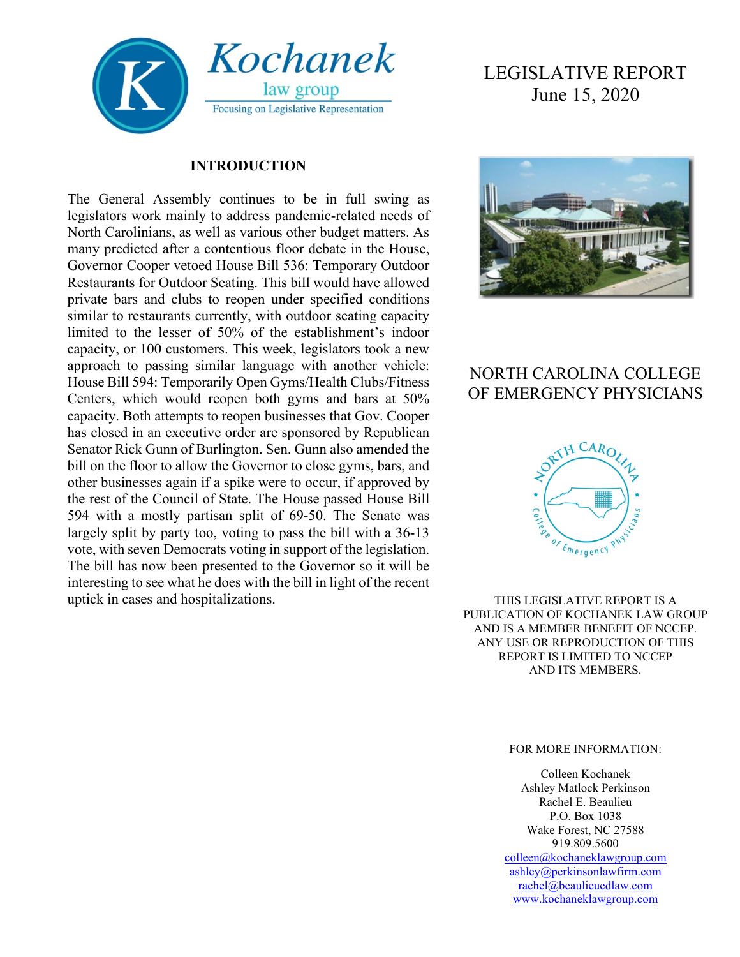

#### **INTRODUCTION**

The General Assembly continues to be in full swing as legislators work mainly to address pandemic-related needs of North Carolinians, as well as various other budget matters. As many predicted after a contentious floor debate in the House, Governor Cooper vetoed House Bill 536: Temporary Outdoor Restaurants for Outdoor Seating. This bill would have allowed private bars and clubs to reopen under specified conditions similar to restaurants currently, with outdoor seating capacity limited to the lesser of 50% of the establishment's indoor capacity, or 100 customers. This week, legislators took a new approach to passing similar language with another vehicle: House Bill 594: Temporarily Open Gyms/Health Clubs/Fitness Centers, which would reopen both gyms and bars at 50% capacity. Both attempts to reopen businesses that Gov. Cooper has closed in an executive order are sponsored by Republican Senator Rick Gunn of Burlington. Sen. Gunn also amended the bill on the floor to allow the Governor to close gyms, bars, and other businesses again if a spike were to occur, if approved by the rest of the Council of State. The House passed House Bill 594 with a mostly partisan split of 69-50. The Senate was largely split by party too, voting to pass the bill with a 36-13 vote, with seven Democrats voting in support of the legislation. The bill has now been presented to the Governor so it will be interesting to see what he does with the bill in light of the recent uptick in cases and hospitalizations.

# LEGISLATIVE REPORT June 15, 2020



## NORTH CAROLINA COLLEGE OF EMERGENCY PHYSICIANS



THIS LEGISLATIVE REPORT IS A PUBLICATION OF KOCHANEK LAW GROUP AND IS A MEMBER BENEFIT OF NCCEP. ANY USE OR REPRODUCTION OF THIS REPORT IS LIMITED TO NCCEP AND ITS MEMBERS.

#### FOR MORE INFORMATION:

Colleen Kochanek Ashley Matlock Perkinson Rachel E. Beaulieu P.O. Box 1038 Wake Forest, NC 27588 919.809.5600 [colleen@kochaneklawgroup.com](mailto:colleen@kochaneklawgroup.com)

[ashley@perkinsonlawfirm.com](mailto:ashley@perkinsonlawfirm.com) [rachel@beaulieuedlaw.com](mailto:rachel@beaulieuedlaw.com) [www.kochaneklawgroup.com](http://www.kochaneklawgroup.com/)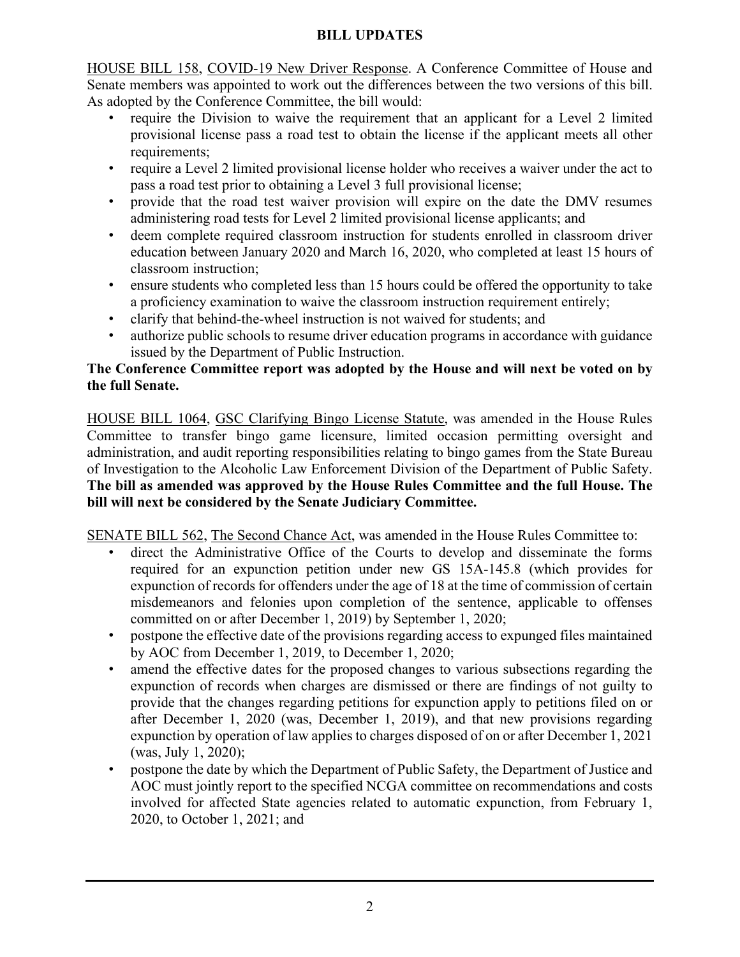#### **BILL UPDATES**

HOUSE BILL 158, COVID-19 New Driver Response. A Conference Committee of House and Senate members was appointed to work out the differences between the two versions of this bill. As adopted by the Conference Committee, the bill would:

- require the Division to waive the requirement that an applicant for a Level 2 limited provisional license pass a road test to obtain the license if the applicant meets all other requirements;
- require a Level 2 limited provisional license holder who receives a waiver under the act to pass a road test prior to obtaining a Level 3 full provisional license;
- provide that the road test waiver provision will expire on the date the DMV resumes administering road tests for Level 2 limited provisional license applicants; and
- deem complete required classroom instruction for students enrolled in classroom driver education between January 2020 and March 16, 2020, who completed at least 15 hours of classroom instruction;
- ensure students who completed less than 15 hours could be offered the opportunity to take a proficiency examination to waive the classroom instruction requirement entirely;
- clarify that behind-the-wheel instruction is not waived for students; and
- authorize public schools to resume driver education programs in accordance with guidance issued by the Department of Public Instruction.

### **The Conference Committee report was adopted by the House and will next be voted on by the full Senate.**

HOUSE BILL 1064, GSC Clarifying Bingo License Statute, was amended in the House Rules Committee to transfer bingo game licensure, limited occasion permitting oversight and administration, and audit reporting responsibilities relating to bingo games from the State Bureau of Investigation to the Alcoholic Law Enforcement Division of the Department of Public Safety. **The bill as amended was approved by the House Rules Committee and the full House. The bill will next be considered by the Senate Judiciary Committee.**

SENATE BILL 562, The Second Chance Act, was amended in the House Rules Committee to:

- direct the Administrative Office of the Courts to develop and disseminate the forms required for an expunction petition under new GS 15A-145.8 (which provides for expunction of records for offenders under the age of 18 at the time of commission of certain misdemeanors and felonies upon completion of the sentence, applicable to offenses committed on or after December 1, 2019) by September 1, 2020;
- postpone the effective date of the provisions regarding access to expunged files maintained by AOC from December 1, 2019, to December 1, 2020;
- amend the effective dates for the proposed changes to various subsections regarding the expunction of records when charges are dismissed or there are findings of not guilty to provide that the changes regarding petitions for expunction apply to petitions filed on or after December 1, 2020 (was, December 1, 2019), and that new provisions regarding expunction by operation of law applies to charges disposed of on or after December 1, 2021 (was, July 1, 2020);
- postpone the date by which the Department of Public Safety, the Department of Justice and AOC must jointly report to the specified NCGA committee on recommendations and costs involved for affected State agencies related to automatic expunction, from February 1, 2020, to October 1, 2021; and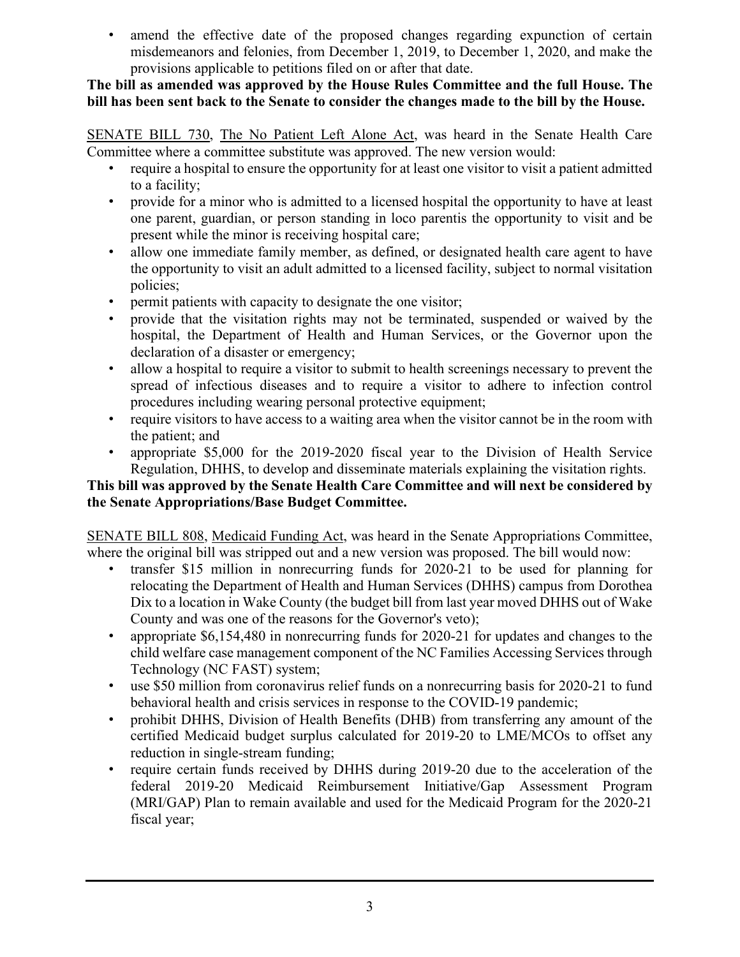amend the effective date of the proposed changes regarding expunction of certain misdemeanors and felonies, from December 1, 2019, to December 1, 2020, and make the provisions applicable to petitions filed on or after that date.

#### **The bill as amended was approved by the House Rules Committee and the full House. The bill has been sent back to the Senate to consider the changes made to the bill by the House.**

SENATE BILL 730, The No Patient Left Alone Act, was heard in the Senate Health Care Committee where a committee substitute was approved. The new version would:

- require a hospital to ensure the opportunity for at least one visitor to visit a patient admitted to a facility;
- provide for a minor who is admitted to a licensed hospital the opportunity to have at least one parent, guardian, or person standing in loco parentis the opportunity to visit and be present while the minor is receiving hospital care;
- allow one immediate family member, as defined, or designated health care agent to have the opportunity to visit an adult admitted to a licensed facility, subject to normal visitation policies;
- permit patients with capacity to designate the one visitor;
- provide that the visitation rights may not be terminated, suspended or waived by the hospital, the Department of Health and Human Services, or the Governor upon the declaration of a disaster or emergency;
- allow a hospital to require a visitor to submit to health screenings necessary to prevent the spread of infectious diseases and to require a visitor to adhere to infection control procedures including wearing personal protective equipment;
- require visitors to have access to a waiting area when the visitor cannot be in the room with the patient; and
- appropriate \$5,000 for the 2019-2020 fiscal year to the Division of Health Service Regulation, DHHS, to develop and disseminate materials explaining the visitation rights.

### **This bill was approved by the Senate Health Care Committee and will next be considered by the Senate Appropriations/Base Budget Committee.**

SENATE BILL 808, Medicaid Funding Act, was heard in the Senate Appropriations Committee, where the original bill was stripped out and a new version was proposed. The bill would now:

- transfer \$15 million in nonrecurring funds for 2020-21 to be used for planning for relocating the Department of Health and Human Services (DHHS) campus from Dorothea Dix to a location in Wake County (the budget bill from last year moved DHHS out of Wake County and was one of the reasons for the Governor's veto);
- appropriate \$6,154,480 in nonrecurring funds for 2020-21 for updates and changes to the child welfare case management component of the NC Families Accessing Services through Technology (NC FAST) system;
- use \$50 million from coronavirus relief funds on a nonrecurring basis for 2020-21 to fund behavioral health and crisis services in response to the COVID-19 pandemic;
- prohibit DHHS, Division of Health Benefits (DHB) from transferring any amount of the certified Medicaid budget surplus calculated for 2019-20 to LME/MCOs to offset any reduction in single-stream funding;
- require certain funds received by DHHS during 2019-20 due to the acceleration of the federal 2019-20 Medicaid Reimbursement Initiative/Gap Assessment Program (MRI/GAP) Plan to remain available and used for the Medicaid Program for the 2020-21 fiscal year;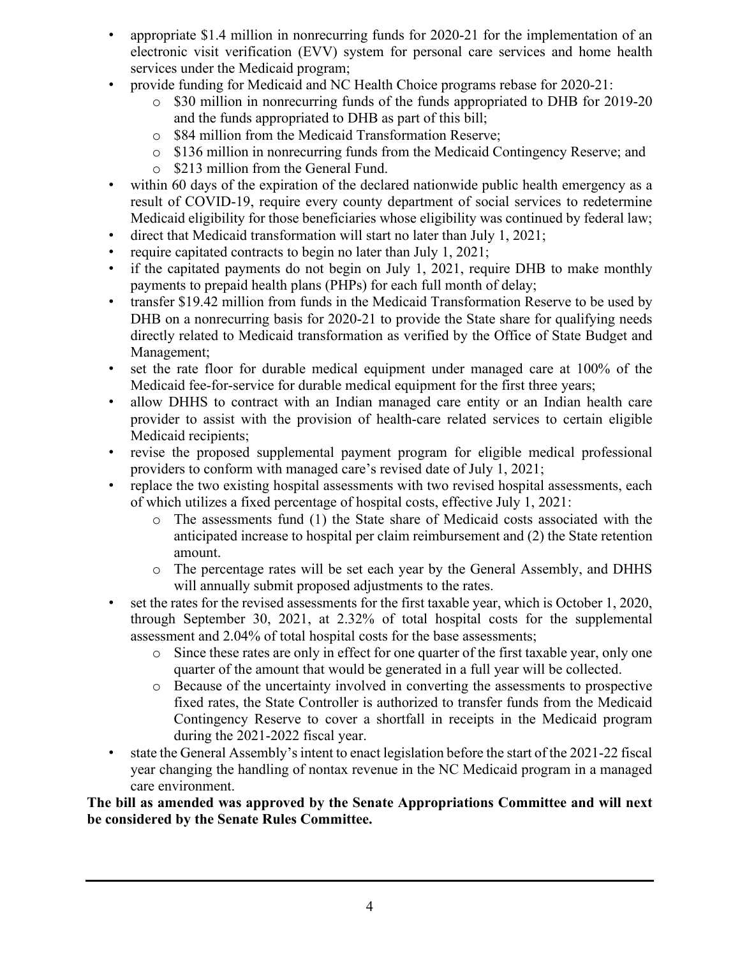- appropriate \$1.4 million in nonrecurring funds for 2020-21 for the implementation of an electronic visit verification (EVV) system for personal care services and home health services under the Medicaid program;
- provide funding for Medicaid and NC Health Choice programs rebase for 2020-21:
	- o \$30 million in nonrecurring funds of the funds appropriated to DHB for 2019-20 and the funds appropriated to DHB as part of this bill;
	- o \$84 million from the Medicaid Transformation Reserve;
	- o \$136 million in nonrecurring funds from the Medicaid Contingency Reserve; and
	- o \$213 million from the General Fund.
- within 60 days of the expiration of the declared nationwide public health emergency as a result of COVID-19, require every county department of social services to redetermine Medicaid eligibility for those beneficiaries whose eligibility was continued by federal law;
- direct that Medicaid transformation will start no later than July 1, 2021;
- require capitated contracts to begin no later than July 1, 2021;
- if the capitated payments do not begin on July 1, 2021, require DHB to make monthly payments to prepaid health plans (PHPs) for each full month of delay;
- transfer \$19.42 million from funds in the Medicaid Transformation Reserve to be used by DHB on a nonrecurring basis for 2020-21 to provide the State share for qualifying needs directly related to Medicaid transformation as verified by the Office of State Budget and Management;
- set the rate floor for durable medical equipment under managed care at 100% of the Medicaid fee-for-service for durable medical equipment for the first three years;
- allow DHHS to contract with an Indian managed care entity or an Indian health care provider to assist with the provision of health-care related services to certain eligible Medicaid recipients;
- revise the proposed supplemental payment program for eligible medical professional providers to conform with managed care's revised date of July 1, 2021;
- replace the two existing hospital assessments with two revised hospital assessments, each of which utilizes a fixed percentage of hospital costs, effective July 1, 2021:
	- o The assessments fund (1) the State share of Medicaid costs associated with the anticipated increase to hospital per claim reimbursement and (2) the State retention amount.
	- o The percentage rates will be set each year by the General Assembly, and DHHS will annually submit proposed adjustments to the rates.
- set the rates for the revised assessments for the first taxable year, which is October 1, 2020, through September 30, 2021, at 2.32% of total hospital costs for the supplemental assessment and 2.04% of total hospital costs for the base assessments;
	- o Since these rates are only in effect for one quarter of the first taxable year, only one quarter of the amount that would be generated in a full year will be collected.
	- o Because of the uncertainty involved in converting the assessments to prospective fixed rates, the State Controller is authorized to transfer funds from the Medicaid Contingency Reserve to cover a shortfall in receipts in the Medicaid program during the 2021-2022 fiscal year.
- state the General Assembly's intent to enact legislation before the start of the 2021-22 fiscal year changing the handling of nontax revenue in the NC Medicaid program in a managed care environment.

**The bill as amended was approved by the Senate Appropriations Committee and will next be considered by the Senate Rules Committee.**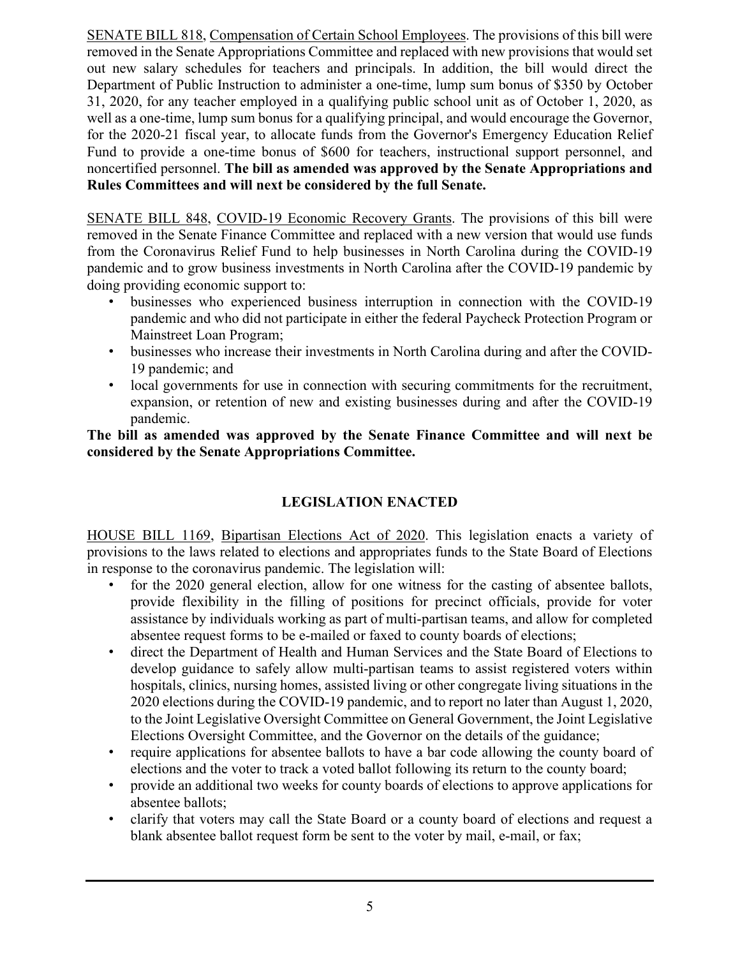SENATE BILL 818, Compensation of Certain School Employees. The provisions of this bill were removed in the Senate Appropriations Committee and replaced with new provisions that would set out new salary schedules for teachers and principals. In addition, the bill would direct the Department of Public Instruction to administer a one-time, lump sum bonus of \$350 by October 31, 2020, for any teacher employed in a qualifying public school unit as of October 1, 2020, as well as a one-time, lump sum bonus for a qualifying principal, and would encourage the Governor, for the 2020-21 fiscal year, to allocate funds from the Governor's Emergency Education Relief Fund to provide a one-time bonus of \$600 for teachers, instructional support personnel, and noncertified personnel. **The bill as amended was approved by the Senate Appropriations and Rules Committees and will next be considered by the full Senate.**

SENATE BILL 848, COVID-19 Economic Recovery Grants. The provisions of this bill were removed in the Senate Finance Committee and replaced with a new version that would use funds from the Coronavirus Relief Fund to help businesses in North Carolina during the COVID-19 pandemic and to grow business investments in North Carolina after the COVID-19 pandemic by doing providing economic support to:

- businesses who experienced business interruption in connection with the COVID-19 pandemic and who did not participate in either the federal Paycheck Protection Program or Mainstreet Loan Program;
- businesses who increase their investments in North Carolina during and after the COVID-19 pandemic; and
- local governments for use in connection with securing commitments for the recruitment, expansion, or retention of new and existing businesses during and after the COVID-19 pandemic.

**The bill as amended was approved by the Senate Finance Committee and will next be considered by the Senate Appropriations Committee.**

### **LEGISLATION ENACTED**

HOUSE BILL 1169, Bipartisan Elections Act of 2020. This legislation enacts a variety of provisions to the laws related to elections and appropriates funds to the State Board of Elections in response to the coronavirus pandemic. The legislation will:

- for the 2020 general election, allow for one witness for the casting of absentee ballots, provide flexibility in the filling of positions for precinct officials, provide for voter assistance by individuals working as part of multi-partisan teams, and allow for completed absentee request forms to be e-mailed or faxed to county boards of elections;
- direct the Department of Health and Human Services and the State Board of Elections to develop guidance to safely allow multi-partisan teams to assist registered voters within hospitals, clinics, nursing homes, assisted living or other congregate living situations in the 2020 elections during the COVID-19 pandemic, and to report no later than August 1, 2020, to the Joint Legislative Oversight Committee on General Government, the Joint Legislative Elections Oversight Committee, and the Governor on the details of the guidance;
- require applications for absentee ballots to have a bar code allowing the county board of elections and the voter to track a voted ballot following its return to the county board;
- provide an additional two weeks for county boards of elections to approve applications for absentee ballots;
- clarify that voters may call the State Board or a county board of elections and request a blank absentee ballot request form be sent to the voter by mail, e-mail, or fax;